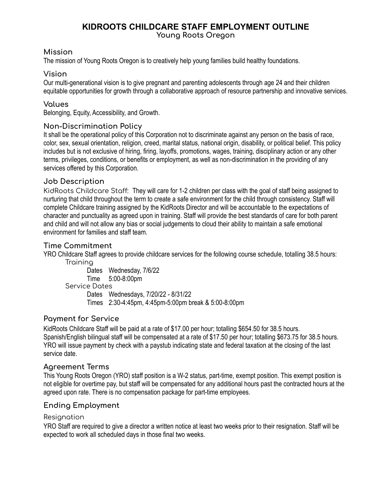# **KIDROOTS CHILDCARE STAFF EMPLOYMENT OUTLINE**

**Young Roots Oregon**

# **Mission**

The mission of Young Roots Oregon is to creatively help young families build healthy foundations.

### **Vision**

Our multi-generational vision is to give pregnant and parenting adolescents through age 24 and their children equitable opportunities for growth through a collaborative approach of resource partnership and innovative services.

### **Values**

Belonging, Equity, Accessibility, and Growth.

#### **Non-Discrimination Policy**

It shall be the operational policy of this Corporation not to discriminate against any person on the basis of race, color, sex, sexual orientation, religion, creed, marital status, national origin, disability, or political belief. This policy includes but is not exclusive of hiring, firing, layoffs, promotions, wages, training, disciplinary action or any other terms, privileges, conditions, or benefits or employment, as well as non-discrimination in the providing of any services offered by this Corporation.

#### **Job Description**

KidRoots Childcare Staff: They will care for 1-2 children per class with the goal of staff being assigned to nurturing that child throughout the term to create a safe environment for the child through consistency. Staff will complete Childcare training assigned by the KidRoots Director and will be accountable to the expectations of character and punctuality as agreed upon in training. Staff will provide the best standards of care for both parent and child and will not allow any bias or social judgements to cloud their ability to maintain a safe emotional environment for families and staff team.

# **Time Commitment**

YRO Childcare Staff agrees to provide childcare services for the following course schedule, totalling 38.5 hours: **Training** 

Dates Wednesday, 7/6/22 Time 5:00-8:00pm Service Dates Dates Wednesdays, 7/20/22 - 8/31/22 Times 2:30-4:45pm, 4:45pm-5:00pm break & 5:00-8:00pm

# **Payment for Service**

KidRoots Childcare Staff will be paid at a rate of \$17.00 per hour; totalling \$654.50 for 38.5 hours. Spanish/English bilingual staff will be compensated at a rate of \$17.50 per hour; totalling \$673.75 for 38.5 hours. YRO will issue payment by check with a paystub indicating state and federal taxation at the closing of the last service date.

#### **Agreement Terms**

This Young Roots Oregon (YRO) staff position is a W-2 status, part-time, exempt position. This exempt position is not eligible for overtime pay, but staff will be compensated for any additional hours past the contracted hours at the agreed upon rate. There is no compensation package for part-time employees.

# **Ending Employment**

#### Resignation

YRO Staff are required to give a director a written notice at least two weeks prior to their resignation. Staff will be expected to work all scheduled days in those final two weeks.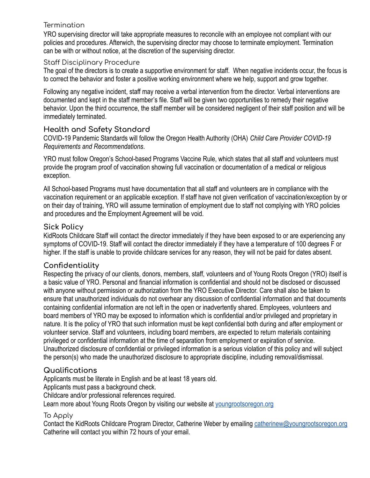# **Termination**

YRO supervising director will take appropriate measures to reconcile with an employee not compliant with our policies and procedures. Afterwich, the supervising director may choose to terminate employment. Termination can be with or without notice, at the discretion of the supervising director.

# Staff Disciplinary Procedure

The goal of the directors is to create a supportive environment for staff. When negative incidents occur, the focus is to correct the behavior and foster a positive working environment where we help, support and grow together.

Following any negative incident, staff may receive a verbal intervention from the director. Verbal interventions are documented and kept in the staff member's file. Staff will be given two opportunities to remedy their negative behavior. Upon the third occurrence, the staff member will be considered negligent of their staff position and will be immediately terminated.

# **Health and Safety Standard**

COVID-19 Pandemic Standards will follow the Oregon Health Authority (OHA) *Child Care Provider COVID-19 Requirements and Recommendations*.

YRO must follow Oregon's School-based Programs Vaccine Rule, which states that all staff and volunteers must provide the program proof of vaccination showing full vaccination or documentation of a medical or religious exception.

All School-based Programs must have documentation that all staff and volunteers are in compliance with the vaccination requirement or an applicable exception. If staff have not given verification of vaccination/exception by or on their day of training, YRO will assume termination of employment due to staff not complying with YRO policies and procedures and the Employment Agreement will be void.

# **Sick Policy**

KidRoots Childcare Staff will contact the director immediately if they have been exposed to or are experiencing any symptoms of COVID-19. Staff will contact the director immediately if they have a temperature of 100 degrees F or higher. If the staff is unable to provide childcare services for any reason, they will not be paid for dates absent.

# **Confidentiality**

Respecting the privacy of our clients, donors, members, staff, volunteers and of Young Roots Oregon (YRO) itself is a basic value of YRO. Personal and financial information is confidential and should not be disclosed or discussed with anyone without permission or authorization from the YRO Executive Director. Care shall also be taken to ensure that unauthorized individuals do not overhear any discussion of confidential information and that documents containing confidential information are not left in the open or inadvertently shared. Employees, volunteers and board members of YRO may be exposed to information which is confidential and/or privileged and proprietary in nature. It is the policy of YRO that such information must be kept confidential both during and after employment or volunteer service. Staff and volunteers, including board members, are expected to return materials containing privileged or confidential information at the time of separation from employment or expiration of service. Unauthorized disclosure of confidential or privileged information is a serious violation of this policy and will subject the person(s) who made the unauthorized disclosure to appropriate discipline, including removal/dismissal.

# **Qualifications**

Applicants must be literate in English and be at least 18 years old.

Applicants must pass a background check.

Childcare and/or professional references required.

Learn more about Young Roots Oregon by visiting our website at [youngrootsoregon.org](https://youngrootsoregon.org/)

# To Apply

Contact the KidRoots Childcare Program Director, Catherine Weber by emailing [catherinew@youngrootsoregon.org](mailto:catherinew@youngrootsoregon.org) Catherine will contact you within 72 hours of your email.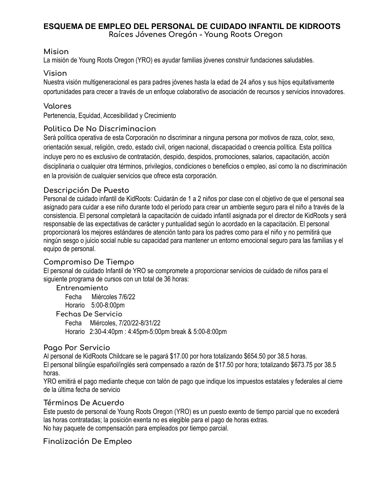# **ESQUEMA DE EMPLEO DEL PERSONAL DE CUIDADO INFANTIL DE KIDROOTS**

**Raíces Jóvenes Oregón - Young Roots Oregon**

#### **Mision**

La misión de Young Roots Oregon (YRO) es ayudar familias jóvenes construir fundaciones saludables.

#### **Vision**

Nuestra visión multigeneracional es para padres jóvenes hasta la edad de 24 años y sus hijos equitativamente oportunidades para crecer a través de un enfoque colaborativo de asociación de recursos y servicios innovadores.

### **Valores**

Pertenencia, Equidad, Accesibilidad y Crecimiento

#### **Politica De No Discriminacion**

Será política operativa de esta Corporación no discriminar a ninguna persona por motivos de raza, color, sexo, orientación sexual, religión, credo, estado civil, origen nacional, discapacidad o creencia política. Esta política incluye pero no es exclusivo de contratación, despido, despidos, promociones, salarios, capacitación, acción disciplinaria o cualquier otra términos, privilegios, condiciones o beneficios o empleo, así como la no discriminación en la provisión de cualquier servicios que ofrece esta corporación.

# **Descripción De Puesto**

Personal de cuidado infantil de KidRoots: Cuidarán de 1 a 2 niños por clase con el objetivo de que el personal sea asignado para cuidar a ese niño durante todo el período para crear un ambiente seguro para el niño a través de la consistencia. El personal completará la capacitación de cuidado infantil asignada por el director de KidRoots y será responsable de las expectativas de carácter y puntualidad según lo acordado en la capacitación. El personal proporcionará los mejores estándares de atención tanto para los padres como para el niño y no permitirá que ningún sesgo o juicio social nuble su capacidad para mantener un entorno emocional seguro para las familias y el equipo de personal.

# **Compromiso De Tiempo**

El personal de cuidado Infantil de YRO se compromete a proporcionar servicios de cuidado de niños para el siguiente programa de cursos con un total de 36 horas:

#### **Entrenamiento**

Fecha Miércoles 7/6/22 Horario 5:00-8:00pm **Fechas De Servicio** Fecha Miércoles, 7/20/22-8/31/22 Horario 2:30-4:40pm : 4:45pm-5:00pm break & 5:00-8:00pm

#### **Pago Por Servicio**

Al personal de KidRoots Childcare se le pagará \$17.00 por hora totalizando \$654.50 por 38.5 horas. El personal bilingüe español/inglés será compensado a razón de \$17.50 por hora; totalizando \$673.75 por 38.5 horas.

YRO emitirá el pago mediante cheque con talón de pago que indique los impuestos estatales y federales al cierre de la última fecha de servicio

# **Términos De Acuerdo**

Este puesto de personal de Young Roots Oregon (YRO) es un puesto exento de tiempo parcial que no excederá las horas contratadas; la posición exenta no es elegible para el pago de horas extras. No hay paquete de compensación para empleados por tiempo parcial.

# **Finalización De Empleo**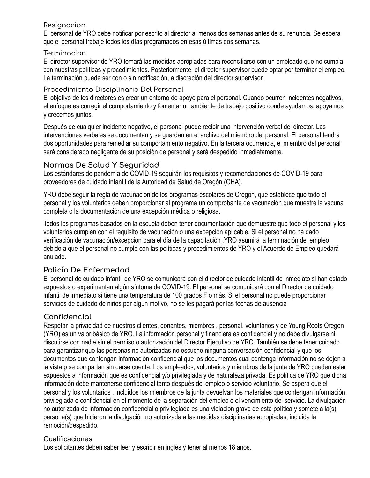#### Resianacion

El personal de YRO debe notificar por escrito al director al menos dos semanas antes de su renuncia. Se espera que el personal trabaje todos los días programados en esas últimas dos semanas.

#### **Terminacion**

El director supervisor de YRO tomará las medidas apropiadas para reconciliarse con un empleado que no cumpla con nuestras políticas y procedimientos. Posteriormente, el director supervisor puede optar por terminar el empleo. La terminación puede ser con o sin notificación, a discreción del director supervisor.

#### Procedimiento Disciplinario Del Personal

El objetivo de los directores es crear un entorno de apoyo para el personal. Cuando ocurren incidentes negativos, el enfoque es corregir el comportamiento y fomentar un ambiente de trabajo positivo donde ayudamos, apoyamos y crecemos juntos.

Después de cualquier incidente negativo, el personal puede recibir una intervención verbal del director. Las intervenciones verbales se documentan y se guardan en el archivo del miembro del personal. El personal tendrá dos oportunidades para remediar su comportamiento negativo. En la tercera ocurrencia, el miembro del personal será considerado negligente de su posición de personal y será despedido inmediatamente.

#### **Normas De Salud Y Seguridad**

Los estándares de pandemia de COVID-19 seguirán los requisitos y recomendaciones de COVID-19 para proveedores de cuidado infantil de la Autoridad de Salud de Oregón (OHA).

YRO debe seguir la regla de vacunación de los programas escolares de Oregon, que establece que todo el personal y los voluntarios deben proporcionar al programa un comprobante de vacunación que muestre la vacuna completa o la documentación de una excepción médica o religiosa.

Todos los programas basados en la escuela deben tener documentación que demuestre que todo el personal y los voluntarios cumplen con el requisito de vacunación o una excepción aplicable. Si el personal no ha dado verificación de vacunación/excepción para el día de la capacitación ,YRO asumirá la terminación del empleo debido a que el personal no cumple con las políticas y procedimientos de YRO y el Acuerdo de Empleo quedará anulado.

# **Policía De Enfermedad**

El personal de cuidado infantil de YRO se comunicará con el director de cuidado infantil de inmediato si han estado expuestos o experimentan algún síntoma de COVID-19. El personal se comunicará con el Director de cuidado infantil de inmediato si tiene una temperatura de 100 grados F o más. Si el personal no puede proporcionar servicios de cuidado de niños por algún motivo, no se les pagará por las fechas de ausencia

# **Confidencial**

Respetar la privacidad de nuestros clientes, donantes, miembros , personal, voluntarios y de Young Roots Oregon (YRO) es un valor básico de YRO. La información personal y financiera es confidencial y no debe divulgarse ni discutirse con nadie sin el permiso o autorización del Director Ejecutivo de YRO. También se debe tener cuidado para garantizar que las personas no autorizadas no escuche ninguna conversación confidencial y que los documentos que contengan información confidencial que los documentos cual contenga información no se dejen a la vista p se compartan sin darse cuenta. Los empleados, voluntarios y miembros de la junta de YRO pueden estar expuestos a información que es confidencial y/o privilegiada y de naturaleza privada. Es política de YRO que dicha información debe mantenerse confidencial tanto después del empleo o servicio voluntario. Se espera que el personal y los voluntarios , incluidos los miembros de la junta devuelvan los materiales que contengan información privilegiada o confidencial en el momento de la separación del empleo o el vencimiento del servicio. La divulgación no autorizada de información confidencial o privilegiada es una violacion grave de esta política y somete a la(s) persona(s) que hicieron la divulgación no autorizada a las medidas disciplinarias apropiadas, incluida la remoción/despedido.

#### Cualificaciones

Los solicitantes deben saber leer y escribir en inglés y tener al menos 18 años.